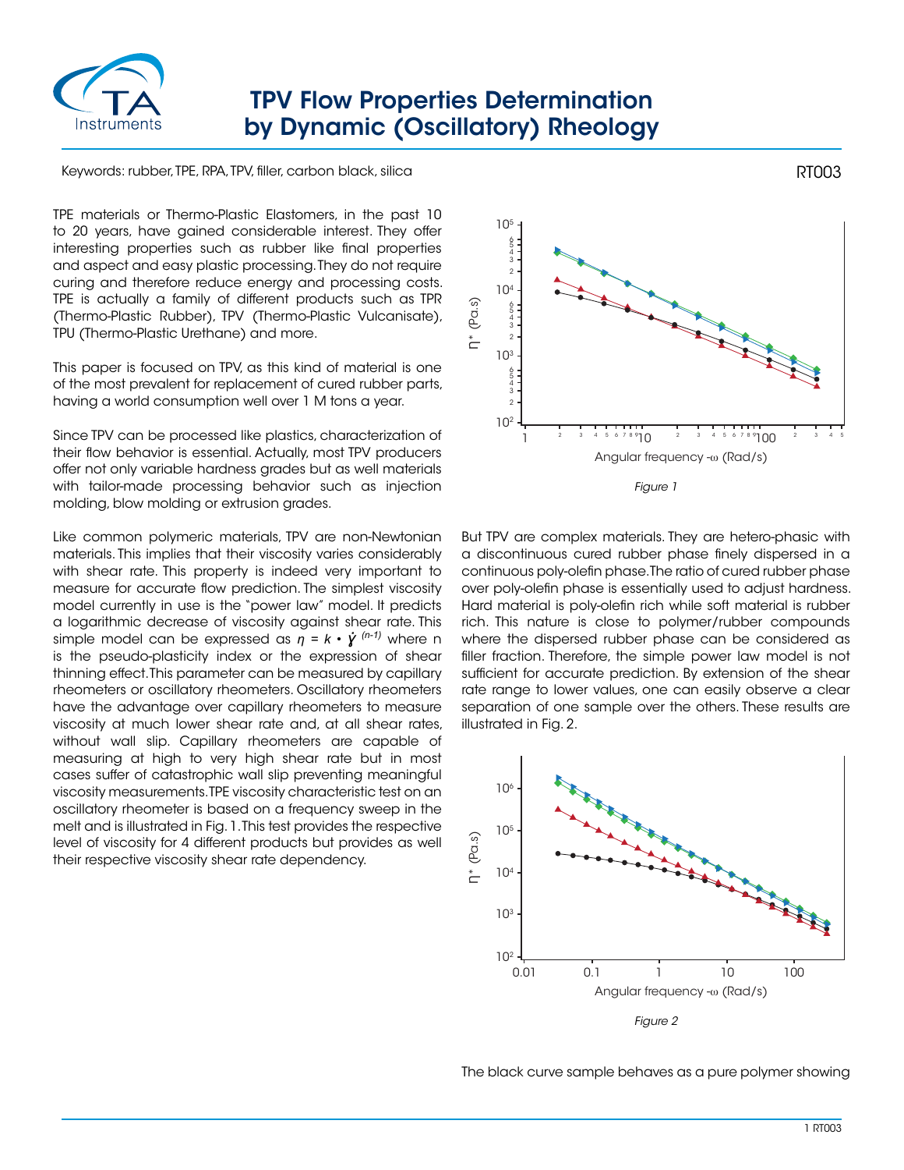

## TPV Flow Properties Determination by Dynamic (Oscillatory) Rheology

Keywords: rubber, TPE, RPA, TPV, filler, carbon black, silica

TPE materials or Thermo-Plastic Elastomers, in the past 10 to 20 years, have gained considerable interest. They offer interesting properties such as rubber like final properties and aspect and easy plastic processing. They do not require curing and therefore reduce energy and processing costs. TPE is actually a family of different products such as TPR (Thermo-Plastic Rubber), TPV (Thermo-Plastic Vulcanisate), TPU (Thermo-Plastic Urethane) and more.

This paper is focused on TPV, as this kind of material is one of the most prevalent for replacement of cured rubber parts, having a world consumption well over 1 M tons a year.

Since TPV can be processed like plastics, characterization of their flow behavior is essential. Actually, most TPV producers offer not only variable hardness grades but as well materials with tailor-made processing behavior such as injection molding, blow molding or extrusion grades.

Like common polymeric materials, TPV are non-Newtonian materials. This implies that their viscosity varies considerably with shear rate. This property is indeed very important to measure for accurate flow prediction. The simplest viscosity model currently in use is the "power law" model. It predicts a logarithmic decrease of viscosity against shear rate. This simple model can be expressed as  $n = k \cdot \dot{Y}^{(n-1)}$  where n is the pseudo-plasticity index or the expression of shear thinning effect. This parameter can be measured by capillary rheometers or oscillatory rheometers. Oscillatory rheometers have the advantage over capillary rheometers to measure viscosity at much lower shear rate and, at all shear rates, without wall slip. Capillary rheometers are capable of measuring at high to very high shear rate but in most cases suffer of catastrophic wall slip preventing meaningful viscosity measurements. TPE viscosity characteristic test on an oscillatory rheometer is based on a frequency sweep in the melt and is illustrated in Fig. 1. This test provides the respective level of viscosity for 4 different products but provides as well their respective viscosity shear rate dependency.



But TPV are complex materials. They are hetero-phasic with a discontinuous cured rubber phase finely dispersed in a continuous poly-olefin phase. The ratio of cured rubber phase over poly-olefin phase is essentially used to adjust hardness. Hard material is poly-olefin rich while soft material is rubber rich. This nature is close to polymer/rubber compounds where the dispersed rubber phase can be considered as filler fraction. Therefore, the simple power law model is not sufficient for accurate prediction. By extension of the shear rate range to lower values, one can easily observe a clear separation of one sample over the others. These results are illustrated in Fig. 2.



The black curve sample behaves as a pure polymer showing